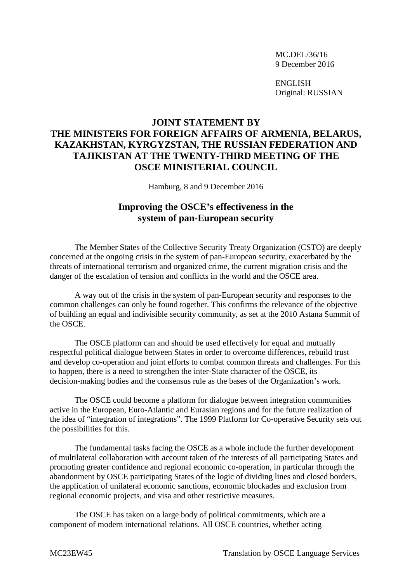MC.DEL/36/16 9 December 2016

ENGLISH Original: RUSSIAN

## **JOINT STATEMENT BY THE MINISTERS FOR FOREIGN AFFAIRS OF ARMENIA, BELARUS, KAZAKHSTAN, KYRGYZSTAN, THE RUSSIAN FEDERATION AND TAJIKISTAN AT THE TWENTY-THIRD MEETING OF THE OSCE MINISTERIAL COUNCIL**

Hamburg, 8 and 9 December 2016

## **Improving the OSCE's effectiveness in the system of pan-European security**

The Member States of the Collective Security Treaty Organization (CSTO) are deeply concerned at the ongoing crisis in the system of pan-European security, exacerbated by the threats of international terrorism and organized crime, the current migration crisis and the danger of the escalation of tension and conflicts in the world and the OSCE area.

A way out of the crisis in the system of pan-European security and responses to the common challenges can only be found together. This confirms the relevance of the objective of building an equal and indivisible security community, as set at the 2010 Astana Summit of the OSCE.

The OSCE platform can and should be used effectively for equal and mutually respectful political dialogue between States in order to overcome differences, rebuild trust and develop co-operation and joint efforts to combat common threats and challenges. For this to happen, there is a need to strengthen the inter-State character of the OSCE, its decision-making bodies and the consensus rule as the bases of the Organization's work.

The OSCE could become a platform for dialogue between integration communities active in the European, Euro-Atlantic and Eurasian regions and for the future realization of the idea of "integration of integrations". The 1999 Platform for Co-operative Security sets out the possibilities for this.

The fundamental tasks facing the OSCE as a whole include the further development of multilateral collaboration with account taken of the interests of all participating States and promoting greater confidence and regional economic co-operation, in particular through the abandonment by OSCE participating States of the logic of dividing lines and closed borders, the application of unilateral economic sanctions, economic blockades and exclusion from regional economic projects, and visa and other restrictive measures.

The OSCE has taken on a large body of political commitments, which are a component of modern international relations. All OSCE countries, whether acting